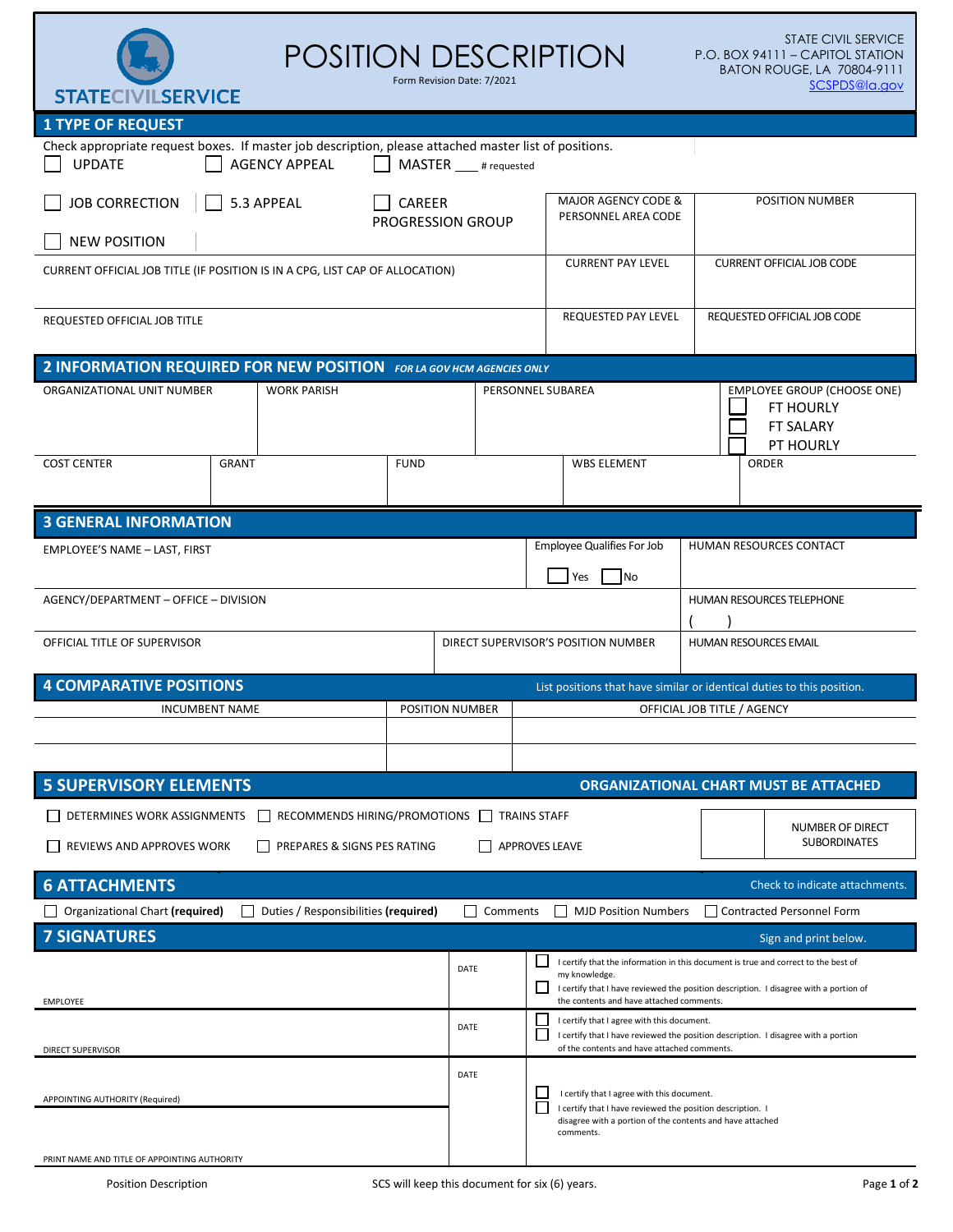| <b>POSITION DESCRIPTION</b><br>Form Revision Date: 7/2021<br><b>STATECIVILSERVICE</b>                                                                                     |                                                  |            |                             |                       |                                     |                                                                                                                                                                                                                                          | <b>STATE CIVIL SERVICE</b><br>P.O. BOX 94111 - CAPITOL STATION<br><b>BATON ROUGE, LA 70804-9111</b><br>SCSPDS@la.gov |                                                                                  |  |
|---------------------------------------------------------------------------------------------------------------------------------------------------------------------------|--------------------------------------------------|------------|-----------------------------|-----------------------|-------------------------------------|------------------------------------------------------------------------------------------------------------------------------------------------------------------------------------------------------------------------------------------|----------------------------------------------------------------------------------------------------------------------|----------------------------------------------------------------------------------|--|
| <b>1 TYPE OF REQUEST</b>                                                                                                                                                  |                                                  |            |                             |                       |                                     |                                                                                                                                                                                                                                          |                                                                                                                      |                                                                                  |  |
| Check appropriate request boxes. If master job description, please attached master list of positions.<br><b>AGENCY APPEAL</b><br><b>UPDATE</b><br>MASTER ____ # requested |                                                  |            |                             |                       |                                     |                                                                                                                                                                                                                                          |                                                                                                                      |                                                                                  |  |
| <b>JOB CORRECTION</b>                                                                                                                                                     |                                                  | 5.3 APPEAL | CAREER<br>PROGRESSION GROUP |                       |                                     | <b>MAJOR AGENCY CODE &amp;</b><br>PERSONNEL AREA CODE                                                                                                                                                                                    | POSITION NUMBER                                                                                                      |                                                                                  |  |
| <b>NEW POSITION</b>                                                                                                                                                       |                                                  |            | <b>CURRENT PAY LEVEL</b>    |                       |                                     |                                                                                                                                                                                                                                          |                                                                                                                      |                                                                                  |  |
| CURRENT OFFICIAL JOB TITLE (IF POSITION IS IN A CPG, LIST CAP OF ALLOCATION)                                                                                              |                                                  |            |                             |                       |                                     |                                                                                                                                                                                                                                          | <b>CURRENT OFFICIAL JOB CODE</b>                                                                                     |                                                                                  |  |
| REQUESTED OFFICIAL JOB TITLE                                                                                                                                              |                                                  |            |                             |                       |                                     | REQUESTED PAY LEVEL                                                                                                                                                                                                                      | REQUESTED OFFICIAL JOB CODE                                                                                          |                                                                                  |  |
| 2 INFORMATION REQUIRED FOR NEW POSITION FOR LA GOV HCM AGENCIES ONLY                                                                                                      |                                                  |            |                             |                       |                                     |                                                                                                                                                                                                                                          |                                                                                                                      |                                                                                  |  |
|                                                                                                                                                                           | ORGANIZATIONAL UNIT NUMBER<br><b>WORK PARISH</b> |            |                             | PERSONNEL SUBAREA     |                                     |                                                                                                                                                                                                                                          |                                                                                                                      | EMPLOYEE GROUP (CHOOSE ONE)<br><b>FT HOURLY</b><br><b>FT SALARY</b><br>PT HOURLY |  |
| <b>COST CENTER</b>                                                                                                                                                        | <b>GRANT</b>                                     |            | <b>FUND</b>                 |                       |                                     | <b>WBS ELEMENT</b>                                                                                                                                                                                                                       |                                                                                                                      | <b>ORDER</b>                                                                     |  |
| <b>3 GENERAL INFORMATION</b>                                                                                                                                              |                                                  |            |                             |                       |                                     |                                                                                                                                                                                                                                          |                                                                                                                      |                                                                                  |  |
| <b>EMPLOYEE'S NAME - LAST, FIRST</b>                                                                                                                                      |                                                  |            |                             |                       |                                     | Employee Qualifies For Job<br>HUMAN RESOURCES CONTACT                                                                                                                                                                                    |                                                                                                                      |                                                                                  |  |
|                                                                                                                                                                           |                                                  |            |                             |                       |                                     | Yes<br><b>No</b>                                                                                                                                                                                                                         |                                                                                                                      |                                                                                  |  |
| AGENCY/DEPARTMENT - OFFICE - DIVISION                                                                                                                                     |                                                  |            |                             |                       | HUMAN RESOURCES TELEPHONE           |                                                                                                                                                                                                                                          |                                                                                                                      |                                                                                  |  |
| OFFICIAL TITLE OF SUPERVISOR                                                                                                                                              |                                                  |            |                             |                       | DIRECT SUPERVISOR'S POSITION NUMBER |                                                                                                                                                                                                                                          |                                                                                                                      | HUMAN RESOURCES EMAIL                                                            |  |
| <b>4 COMPARATIVE POSITIONS</b>                                                                                                                                            |                                                  |            |                             |                       |                                     |                                                                                                                                                                                                                                          | List positions that have similar or identical duties to this position.                                               |                                                                                  |  |
| <b>INCUMBENT NAME</b>                                                                                                                                                     |                                                  |            |                             | POSITION NUMBER       |                                     |                                                                                                                                                                                                                                          | OFFICIAL JOB TITLE / AGENCY                                                                                          |                                                                                  |  |
|                                                                                                                                                                           |                                                  |            |                             |                       |                                     |                                                                                                                                                                                                                                          |                                                                                                                      |                                                                                  |  |
| <b>5 SUPERVISORY ELEMENTS</b><br><b>ORGANIZATIONAL CHART MUST BE ATTACHED</b>                                                                                             |                                                  |            |                             |                       |                                     |                                                                                                                                                                                                                                          |                                                                                                                      |                                                                                  |  |
| RECOMMENDS HIRING/PROMOTIONS<br>DETERMINES WORK ASSIGNMENTS<br><b>TRAINS STAFF</b><br><b>NUMBER OF DIRECT</b>                                                             |                                                  |            |                             |                       |                                     |                                                                                                                                                                                                                                          |                                                                                                                      |                                                                                  |  |
| REVIEWS AND APPROVES WORK<br>PREPARES & SIGNS PES RATING                                                                                                                  |                                                  |            |                             | <b>APPROVES LEAVE</b> |                                     |                                                                                                                                                                                                                                          |                                                                                                                      | <b>SUBORDINATES</b>                                                              |  |
| <b>6 ATTACHMENTS</b><br>Check to indicate attachments.                                                                                                                    |                                                  |            |                             |                       |                                     |                                                                                                                                                                                                                                          |                                                                                                                      |                                                                                  |  |
| Organizational Chart (required)<br>Duties / Responsibilities (required)<br>Comments<br><b>MJD Position Numbers</b><br>Contracted Personnel Form                           |                                                  |            |                             |                       |                                     |                                                                                                                                                                                                                                          |                                                                                                                      |                                                                                  |  |
| <b>7 SIGNATURES</b><br>Sign and print below.                                                                                                                              |                                                  |            |                             |                       |                                     |                                                                                                                                                                                                                                          |                                                                                                                      |                                                                                  |  |
| <b>EMPLOYEE</b>                                                                                                                                                           |                                                  |            |                             | DATE                  |                                     | I certify that the information in this document is true and correct to the best of<br>my knowledge.<br>I certify that I have reviewed the position description. I disagree with a portion of<br>the contents and have attached comments. |                                                                                                                      |                                                                                  |  |
| <b>DIRECT SUPERVISOR</b>                                                                                                                                                  |                                                  |            |                             | DATE                  |                                     | I certify that I agree with this document.<br>I certify that I have reviewed the position description. I disagree with a portion<br>of the contents and have attached comments.                                                          |                                                                                                                      |                                                                                  |  |
| APPOINTING AUTHORITY (Required)                                                                                                                                           |                                                  |            |                             | DATE                  |                                     | I certify that I agree with this document.<br>I certify that I have reviewed the position description. I<br>disagree with a portion of the contents and have attached<br>comments.                                                       |                                                                                                                      |                                                                                  |  |

PRINT NAME AND TITLE OF APPOINTING AUTHORITY